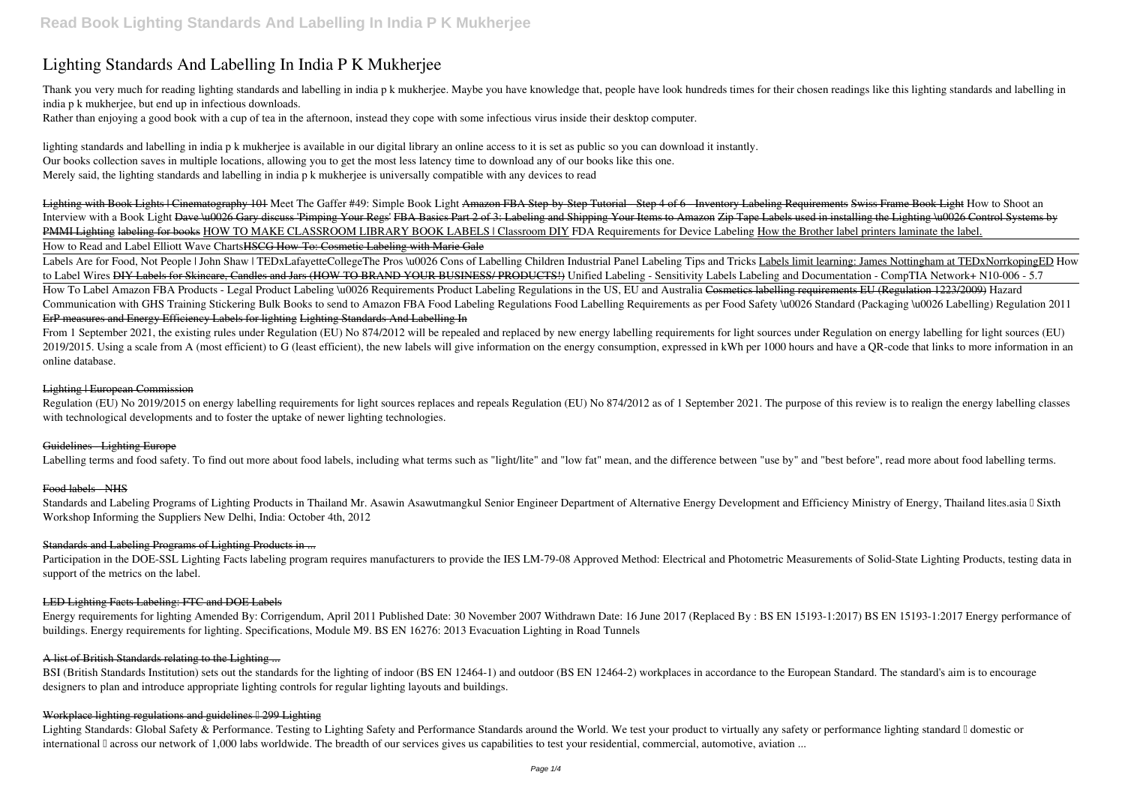# **Lighting Standards And Labelling In India P K Mukherjee**

Thank you very much for reading lighting standards and labelling in india p k mukherjee. Maybe you have knowledge that, people have look hundreds times for their chosen readings like this lighting standards and labelling i india p k mukherjee, but end up in infectious downloads.

Rather than enjoying a good book with a cup of tea in the afternoon, instead they cope with some infectious virus inside their desktop computer.

lighting standards and labelling in india p k mukherjee is available in our digital library an online access to it is set as public so you can download it instantly. Our books collection saves in multiple locations, allowing you to get the most less latency time to download any of our books like this one. Merely said, the lighting standards and labelling in india p k mukherjee is universally compatible with any devices to read

Lighting with Book Lights | Cinematography 101 Meet The Gaffer #49: Simple Book Light Amazon FBA Step-by-Step Tutorial - Step 4 of 6 - Inventory Labeling Requirements Swiss Frame Book Light How to Shoot an Interview with a Book Light <del>Dave \u0026 Gary discuss 'Pimping Your Regs' FBA Basics Part 2 of 3: Labeling and Shipping Your Items to Amazon Zip Tape Labels used in installing the Lighting \u0026 Control Systems by</del> PMMI Lighting labeling for books HOW TO MAKE CLASSROOM LIBRARY BOOK LABELS | Classroom DIY *FDA Requirements for Device Labeling* How the Brother label printers laminate the label. How to Read and Label Elliott Wave ChartsHSCG How-To: Cosmetic Labeling with Marie Gale

Labels Are for Food, Not People | John Shaw | TEDxLafayetteCollegeThe Pros \u0026 Cons of Labelling Children Industrial Panel Labeling Tips and Tricks Labels limit learning: James Nottingham at TEDxNorrkopingED How *to Label Wires* DIY Labels for Skincare, Candles and Jars (HOW TO BRAND YOUR BUSINESS/ PRODUCTS!) Unified Labeling - Sensitivity Labels *Labeling and Documentation - CompTIA Network+ N10-006 - 5.7* How To Label Amazon FBA Products - Legal Product Labeling \u0026 Requirements Product Labeling Regulations in the US, EU and Australia Cosmetics labelling requirements EU (Regulation 1223/2009) *Hazard Communication with GHS Training* Stickering Bulk Books to send to Amazon FBA Food Labeling Regulations **Food Labelling Requirements as per Food Safety \u0026 Standard (Packaging \u0026 Labelling) Regulation 2011** ErP measures and Energy Efficiency Labels for lighting Lighting Standards And Labelling In

From 1 September 2021, the existing rules under Regulation (EU) No 874/2012 will be repealed and replaced by new energy labelling requirements for light sources under Regulation on energy labelling for light sources (EU) 2019/2015. Using a scale from A (most efficient) to G (least efficient), the new labels will give information on the energy consumption, expressed in kWh per 1000 hours and have a QR-code that links to more information in online database.

Regulation (EU) No 2019/2015 on energy labelling requirements for light sources replaces and repeals Regulation (EU) No 874/2012 as of 1 September 2021. The purpose of this review is to realign the energy labelling classes with technological developments and to foster the uptake of newer lighting technologies.

Standards and Labeling Programs of Lighting Products in Thailand Mr. Asawin Asawutmangkul Senior Engineer Department of Alternative Energy Development and Efficiency Ministry of Energy, Thailand lites.asia I Sixth Workshop Informing the Suppliers New Delhi, India: October 4th, 2012

Participation in the DOE-SSL Lighting Facts labeling program requires manufacturers to provide the IES LM-79-08 Approved Method: Electrical and Photometric Measurements of Solid-State Lighting Products, testing data in support of the metrics on the label.

Energy requirements for lighting Amended By: Corrigendum, April 2011 Published Date: 30 November 2007 Withdrawn Date: 16 June 2017 (Replaced By : BS EN 15193-1:2017) BS EN 15193-1:2017 Energy performance of buildings. Energy requirements for lighting. Specifications, Module M9. BS EN 16276: 2013 Evacuation Lighting in Road Tunnels

BSI (British Standards Institution) sets out the standards for the lighting of indoor (BS EN 12464-1) and outdoor (BS EN 12464-2) workplaces in accordance to the European Standard. The standard's aim is to encourage designers to plan and introduce appropriate lighting controls for regular lighting layouts and buildings.

### Workplace lighting regulations and guidelines  $\frac{1299}{1201}$  Lighting

Lighting Standards: Global Safety & Performance. Testing to Lighting Safety and Performance Standards around the World. We test your product to virtually any safety or performance lighting standard I domestic or international I across our network of 1,000 labs worldwide. The breadth of our services gives us capabilities to test your residential, commercial, automotive, aviation ...

#### Lighting | European Commission

### Guidelines - Lighting Europe

Labelling terms and food safety. To find out more about food labels, including what terms such as "light/lite" and "low fat" mean, and the difference between "use by" and "best before", read more about food labelling terms

#### Food labels NHS

### Standards and Labeling Programs of Lighting Products in ...

#### LED Lighting Facts Labeling: FTC and DOE Labels

#### A list of British Standards relating to the Lighting ...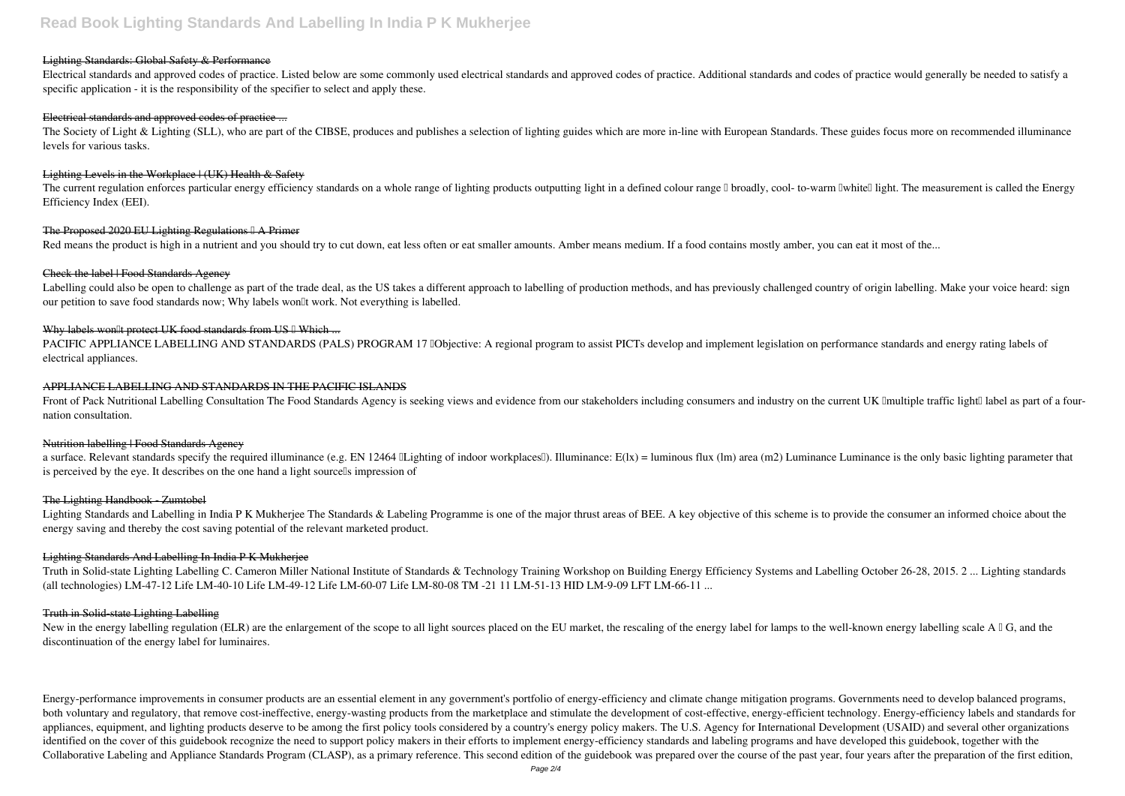## **Read Book Lighting Standards And Labelling In India P K Mukherjee**

#### Lighting Standards: Global Safety & Performance

Electrical standards and approved codes of practice. Listed below are some commonly used electrical standards and approved codes of practice. Additional standards and codes of practice would generally be needed to satisfy a specific application - it is the responsibility of the specifier to select and apply these.

The Society of Light & Lighting (SLL), who are part of the CIBSE, produces and publishes a selection of lighting guides which are more in-line with European Standards. These guides focus more on recommended illuminance levels for various tasks.

#### Lighting Levels in the Workplace | (UK) Health & Safety

#### Electrical standards and approved codes of practice ...

The current regulation enforces particular energy efficiency standards on a whole range of lighting products outputting light in a defined colour range I broadly, cool- to-warm Iwhitell light. The measurement is called the Efficiency Index (EEI).

#### The Proposed 2020 EU Lighting Regulations <sup>[]</sup> A Primer

Red means the product is high in a nutrient and you should try to cut down, eat less often or eat smaller amounts. Amber means medium. If a food contains mostly amber, you can eat it most of the...

#### Check the label | Food Standards Agency

Labelling could also be open to challenge as part of the trade deal, as the US takes a different approach to labelling of production methods, and has previously challenged country of origin labelling. Make your voice heard our petition to save food standards now; Why labels won'll work. Not everything is labelled.

#### Why labels won<sup>[1]</sup>t protect UK food standards from US <sup>[1]</sup> Which ...

PACIFIC APPLIANCE LABELLING AND STANDARDS (PALS) PROGRAM 17 **Dobjective:** A regional program to assist PICTs develop and implement legislation on performance standards and energy rating labels of electrical appliances.

Front of Pack Nutritional Labelling Consultation The Food Standards Agency is seeking views and evidence from our stakeholders including consumers and industry on the current UK Imultiple traffic lightI label as part of a nation consultation.

#### Nutrition labelling | Food Standards Agency

a surface. Relevant standards specify the required illuminance (e.g. EN 12464 Lighting of indoor workplaces!). Illuminance: E(lx) = luminous flux (lm) area (m2) Luminance Luminance is the only basic lighting parameter that is perceived by the eye. It describes on the one hand a light sourcells impression of

#### The Lighting Handbook - Zumtobel

Lighting Standards and Labelling in India P K Mukherjee The Standards & Labeling Programme is one of the major thrust areas of BEE. A key objective of this scheme is to provide the consumer an informed choice about the energy saving and thereby the cost saving potential of the relevant marketed product.

Truth in Solid-state Lighting Labelling C. Cameron Miller National Institute of Standards & Technology Training Workshop on Building Energy Efficiency Systems and Labelling October 26-28, 2015. 2 ... Lighting standards (all technologies) LM-47-12 Life LM-40-10 Life LM-49-12 Life LM-60-07 Life LM-80-08 TM -21 11 LM-51-13 HID LM-9-09 LFT LM-66-11 ...

New in the energy labelling regulation (ELR) are the enlargement of the scope to all light sources placed on the EU market, the rescaling of the energy label for lamps to the well-known energy labelling scale A  $\Box$  G, and discontinuation of the energy label for luminaires.

Energy-performance improvements in consumer products are an essential element in any government's portfolio of energy-efficiency and climate change mitigation programs. Governments need to develop balanced programs, both voluntary and regulatory, that remove cost-ineffective, energy-wasting products from the marketplace and stimulate the development of cost-effective, energy-efficient technology. Energy-efficiency labels and standards appliances, equipment, and lighting products deserve to be among the first policy tools considered by a country's energy policy makers. The U.S. Agency for International Development (USAID) and several other organizations identified on the cover of this guidebook recognize the need to support policy makers in their efforts to implement energy-efficiency standards and labeling programs and have developed this guidebook, together with the Collaborative Labeling and Appliance Standards Program (CLASP), as a primary reference. This second edition of the guidebook was prepared over the course of the past year, four years after the preparation of the first edit

#### APPLIANCE LABELLING AND STANDARDS IN THE PACIFIC ISLANDS

#### Lighting Standards And Labelling In India P K Mukherjee

#### Truth in Solid-state Lighting Labelling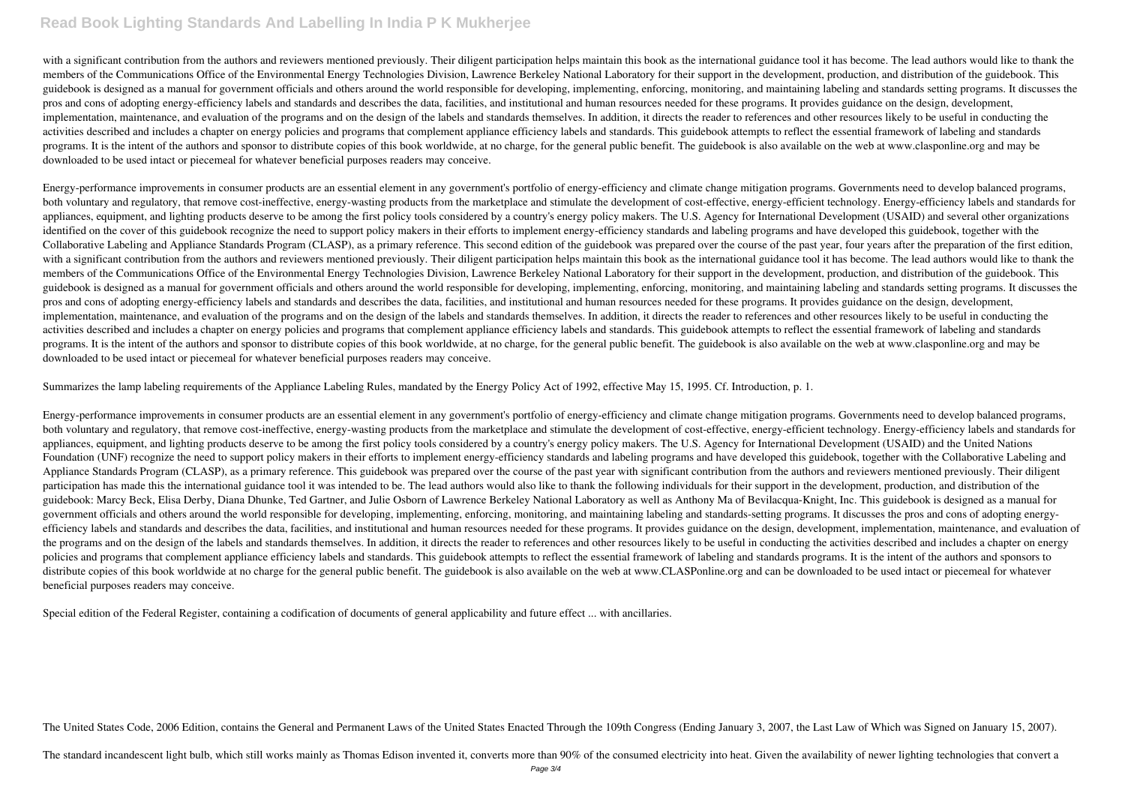## **Read Book Lighting Standards And Labelling In India P K Mukherjee**

with a significant contribution from the authors and reviewers mentioned previously. Their diligent participation helps maintain this book as the international guidance tool it has become. The lead authors would like to th members of the Communications Office of the Environmental Energy Technologies Division, Lawrence Berkeley National Laboratory for their support in the development, production, and distribution of the guidebook. This guidebook is designed as a manual for government officials and others around the world responsible for developing, implementing, enforcing, monitoring, and maintaining labeling and standards setting programs. It discusses pros and cons of adopting energy-efficiency labels and standards and describes the data, facilities, and institutional and human resources needed for these programs. It provides guidance on the design, development, implementation, maintenance, and evaluation of the programs and on the design of the labels and standards themselves. In addition, it directs the reader to references and other resources likely to be useful in conducting the activities described and includes a chapter on energy policies and programs that complement appliance efficiency labels and standards. This guidebook attempts to reflect the essential framework of labeling and standards programs. It is the intent of the authors and sponsor to distribute copies of this book worldwide, at no charge, for the general public benefit. The guidebook is also available on the web at www.clasponline.org and may be downloaded to be used intact or piecemeal for whatever beneficial purposes readers may conceive.

Energy-performance improvements in consumer products are an essential element in any government's portfolio of energy-efficiency and climate change mitigation programs. Governments need to develop balanced programs, both voluntary and regulatory, that remove cost-ineffective, energy-wasting products from the marketplace and stimulate the development of cost-effective, energy-efficient technology. Energy-efficiency labels and standards appliances, equipment, and lighting products deserve to be among the first policy tools considered by a country's energy policy makers. The U.S. Agency for International Development (USAID) and several other organizations identified on the cover of this guidebook recognize the need to support policy makers in their efforts to implement energy-efficiency standards and labeling programs and have developed this guidebook, together with the Collaborative Labeling and Appliance Standards Program (CLASP), as a primary reference. This second edition of the guidebook was prepared over the course of the past year, four years after the preparation of the first edit with a significant contribution from the authors and reviewers mentioned previously. Their diligent participation helps maintain this book as the international guidance tool it has become. The lead authors would like to th members of the Communications Office of the Environmental Energy Technologies Division, Lawrence Berkeley National Laboratory for their support in the development, production, and distribution of the guidebook. This guidebook is designed as a manual for government officials and others around the world responsible for developing, implementing, enforcing, monitoring, and maintaining labeling and standards setting programs. It discusses pros and cons of adopting energy-efficiency labels and standards and describes the data, facilities, and institutional and human resources needed for these programs. It provides guidance on the design, development, implementation, maintenance, and evaluation of the programs and on the design of the labels and standards themselves. In addition, it directs the reader to references and other resources likely to be useful in conducting the activities described and includes a chapter on energy policies and programs that complement appliance efficiency labels and standards. This guidebook attempts to reflect the essential framework of labeling and standards programs. It is the intent of the authors and sponsor to distribute copies of this book worldwide, at no charge, for the general public benefit. The guidebook is also available on the web at www.clasponline.org and may be downloaded to be used intact or piecemeal for whatever beneficial purposes readers may conceive.

Summarizes the lamp labeling requirements of the Appliance Labeling Rules, mandated by the Energy Policy Act of 1992, effective May 15, 1995. Cf. Introduction, p. 1.

Energy-performance improvements in consumer products are an essential element in any government's portfolio of energy-efficiency and climate change mitigation programs. Governments need to develop balanced programs, both voluntary and regulatory, that remove cost-ineffective, energy-wasting products from the marketplace and stimulate the development of cost-effective, energy-efficient technology. Energy-efficiency labels and standards appliances, equipment, and lighting products deserve to be among the first policy tools considered by a country's energy policy makers. The U.S. Agency for International Development (USAID) and the United Nations Foundation (UNF) recognize the need to support policy makers in their efforts to implement energy-efficiency standards and labeling programs and have developed this guidebook, together with the Collaborative Labeling and Appliance Standards Program (CLASP), as a primary reference. This guidebook was prepared over the course of the past year with significant contribution from the authors and reviewers mentioned previously. Their diligent participation has made this the international guidance tool it was intended to be. The lead authors would also like to thank the following individuals for their support in the development, production, and distribution of the guidebook: Marcy Beck, Elisa Derby, Diana Dhunke, Ted Gartner, and Julie Osborn of Lawrence Berkeley National Laboratory as well as Anthony Ma of Bevilacqua-Knight, Inc. This guidebook is designed as a manual for government officials and others around the world responsible for developing, implementing, enforcing, monitoring, and maintaining labeling and standards-setting programs. It discusses the pros and cons of adopting energyefficiency labels and standards and describes the data, facilities, and institutional and human resources needed for these programs. It provides guidance on the design, development, implementation, maintenance, and evaluat the programs and on the design of the labels and standards themselves. In addition, it directs the reader to references and other resources likely to be useful in conducting the activities described and includes a chapter policies and programs that complement appliance efficiency labels and standards. This guidebook attempts to reflect the essential framework of labeling and standards programs. It is the intent of the authors and sponsors to distribute copies of this book worldwide at no charge for the general public benefit. The guidebook is also available on the web at www.CLASPonline.org and can be downloaded to be used intact or piecemeal for whatever beneficial purposes readers may conceive.

Special edition of the Federal Register, containing a codification of documents of general applicability and future effect ... with ancillaries.

The United States Code, 2006 Edition, contains the General and Permanent Laws of the United States Enacted Through the 109th Congress (Ending January 3, 2007, the Last Law of Which was Signed on January 15, 2007).

The standard incandescent light bulb, which still works mainly as Thomas Edison invented it, converts more than 90% of the consumed electricity into heat. Given the availability of newer lighting technologies that convert